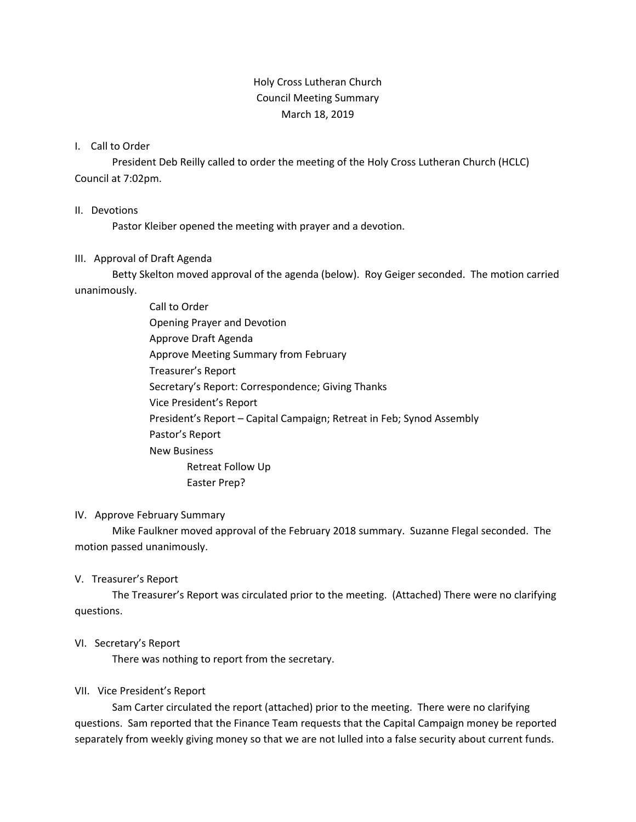# Holy Cross Lutheran Church Council Meeting Summary March 18, 2019

#### I. Call to Order

President Deb Reilly called to order the meeting of the Holy Cross Lutheran Church (HCLC) Council at 7:02pm.

#### II. Devotions

Pastor Kleiber opened the meeting with prayer and a devotion.

## III. Approval of Draft Agenda

Betty Skelton moved approval of the agenda (below). Roy Geiger seconded. The motion carried unanimously.

> Call to Order Opening Prayer and Devotion Approve Draft Agenda Approve Meeting Summary from February Treasurer's Report Secretary's Report: Correspondence; Giving Thanks Vice President's Report President's Report – Capital Campaign; Retreat in Feb; Synod Assembly Pastor's Report New Business Retreat Follow Up Easter Prep?

## IV. Approve February Summary

Mike Faulkner moved approval of the February 2018 summary. Suzanne Flegal seconded. The motion passed unanimously.

## V. Treasurer's Report

The Treasurer's Report was circulated prior to the meeting. (Attached) There were no clarifying questions.

## VI. Secretary's Report

There was nothing to report from the secretary.

## VII. Vice President's Report

Sam Carter circulated the report (attached) prior to the meeting. There were no clarifying questions. Sam reported that the Finance Team requests that the Capital Campaign money be reported separately from weekly giving money so that we are not lulled into a false security about current funds.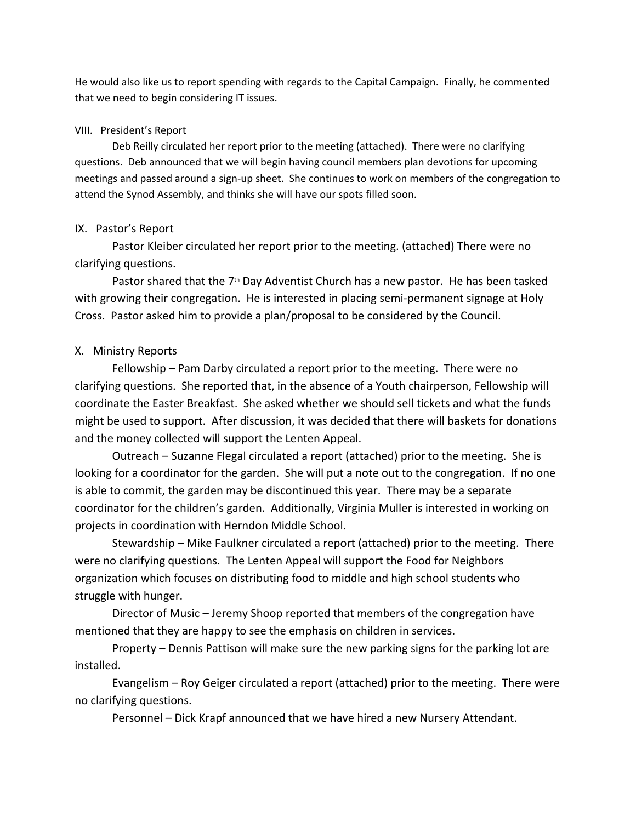He would also like us to report spending with regards to the Capital Campaign. Finally, he commented that we need to begin considering IT issues.

#### VIII. President's Report

Deb Reilly circulated her report prior to the meeting (attached). There were no clarifying questions. Deb announced that we will begin having council members plan devotions for upcoming meetings and passed around a sign-up sheet. She continues to work on members of the congregation to attend the Synod Assembly, and thinks she will have our spots filled soon.

#### IX. Pastor's Report

Pastor Kleiber circulated her report prior to the meeting. (attached) There were no clarifying questions.

Pastor shared that the  $7<sup>th</sup>$  Day Adventist Church has a new pastor. He has been tasked with growing their congregation. He is interested in placing semi-permanent signage at Holy Cross. Pastor asked him to provide a plan/proposal to be considered by the Council.

## X. Ministry Reports

Fellowship – Pam Darby circulated a report prior to the meeting. There were no clarifying questions. She reported that, in the absence of a Youth chairperson, Fellowship will coordinate the Easter Breakfast. She asked whether we should sell tickets and what the funds might be used to support. After discussion, it was decided that there will baskets for donations and the money collected will support the Lenten Appeal.

Outreach – Suzanne Flegal circulated a report (attached) prior to the meeting. She is looking for a coordinator for the garden. She will put a note out to the congregation. If no one is able to commit, the garden may be discontinued this year. There may be a separate coordinator for the children's garden. Additionally, Virginia Muller is interested in working on projects in coordination with Herndon Middle School.

Stewardship – Mike Faulkner circulated a report (attached) prior to the meeting. There were no clarifying questions. The Lenten Appeal will support the Food for Neighbors organization which focuses on distributing food to middle and high school students who struggle with hunger.

Director of Music – Jeremy Shoop reported that members of the congregation have mentioned that they are happy to see the emphasis on children in services.

Property – Dennis Pattison will make sure the new parking signs for the parking lot are installed.

Evangelism – Roy Geiger circulated a report (attached) prior to the meeting. There were no clarifying questions.

Personnel – Dick Krapf announced that we have hired a new Nursery Attendant.